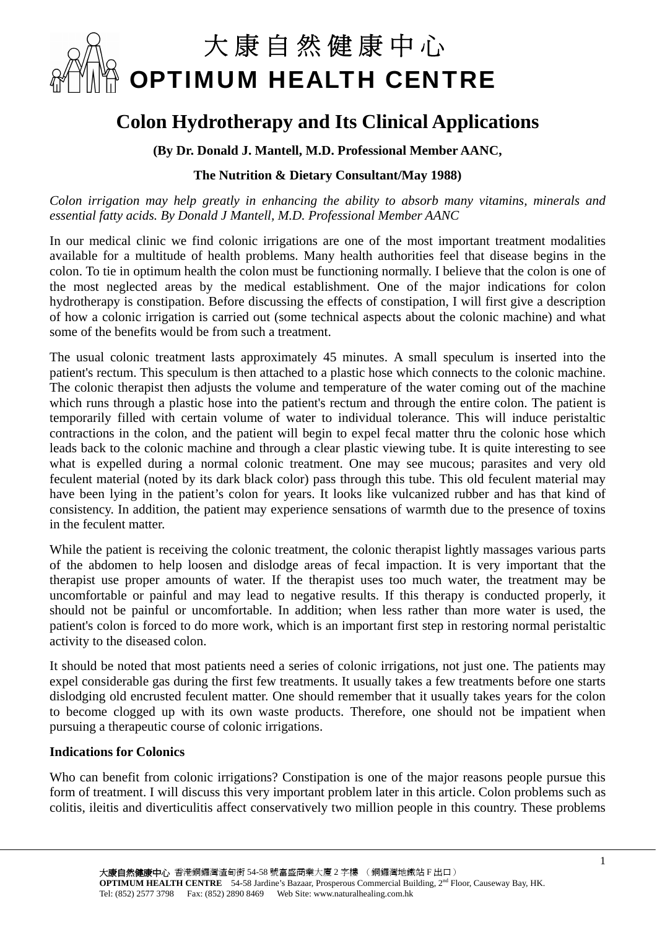

## **Colon Hydrotherapy and Its Clinical Applications**

**(By Dr. Donald J. Mantell, M.D. Professional Member AANC,** 

## **The Nutrition & Dietary Consultant/May 1988)**

*Colon irrigation may help greatly in enhancing the ability to absorb many vitamins, minerals and essential fatty acids. By Donald J Mantell, M.D. Professional Member AANC* 

In our medical clinic we find colonic irrigations are one of the most important treatment modalities available for a multitude of health problems. Many health authorities feel that disease begins in the colon. To tie in optimum health the colon must be functioning normally. I believe that the colon is one of the most neglected areas by the medical establishment. One of the major indications for colon hydrotherapy is constipation. Before discussing the effects of constipation, I will first give a description of how a colonic irrigation is carried out (some technical aspects about the colonic machine) and what some of the benefits would be from such a treatment.

The usual colonic treatment lasts approximately 45 minutes. A small speculum is inserted into the patient's rectum. This speculum is then attached to a plastic hose which connects to the colonic machine. The colonic therapist then adjusts the volume and temperature of the water coming out of the machine which runs through a plastic hose into the patient's rectum and through the entire colon. The patient is temporarily filled with certain volume of water to individual tolerance. This will induce peristaltic contractions in the colon, and the patient will begin to expel fecal matter thru the colonic hose which leads back to the colonic machine and through a clear plastic viewing tube. It is quite interesting to see what is expelled during a normal colonic treatment. One may see mucous; parasites and very old feculent material (noted by its dark black color) pass through this tube. This old feculent material may have been lying in the patient's colon for years. It looks like vulcanized rubber and has that kind of consistency. In addition, the patient may experience sensations of warmth due to the presence of toxins in the feculent matter.

While the patient is receiving the colonic treatment, the colonic therapist lightly massages various parts of the abdomen to help loosen and dislodge areas of fecal impaction. It is very important that the therapist use proper amounts of water. If the therapist uses too much water, the treatment may be uncomfortable or painful and may lead to negative results. If this therapy is conducted properly, it should not be painful or uncomfortable. In addition; when less rather than more water is used, the patient's colon is forced to do more work, which is an important first step in restoring normal peristaltic activity to the diseased colon.

It should be noted that most patients need a series of colonic irrigations, not just one. The patients may expel considerable gas during the first few treatments. It usually takes a few treatments before one starts dislodging old encrusted feculent matter. One should remember that it usually takes years for the colon to become clogged up with its own waste products. Therefore, one should not be impatient when pursuing a therapeutic course of colonic irrigations.

## **Indications for Colonics**

Who can benefit from colonic irrigations? Constipation is one of the major reasons people pursue this form of treatment. I will discuss this very important problem later in this article. Colon problems such as colitis, ileitis and diverticulitis affect conservatively two million people in this country. These problems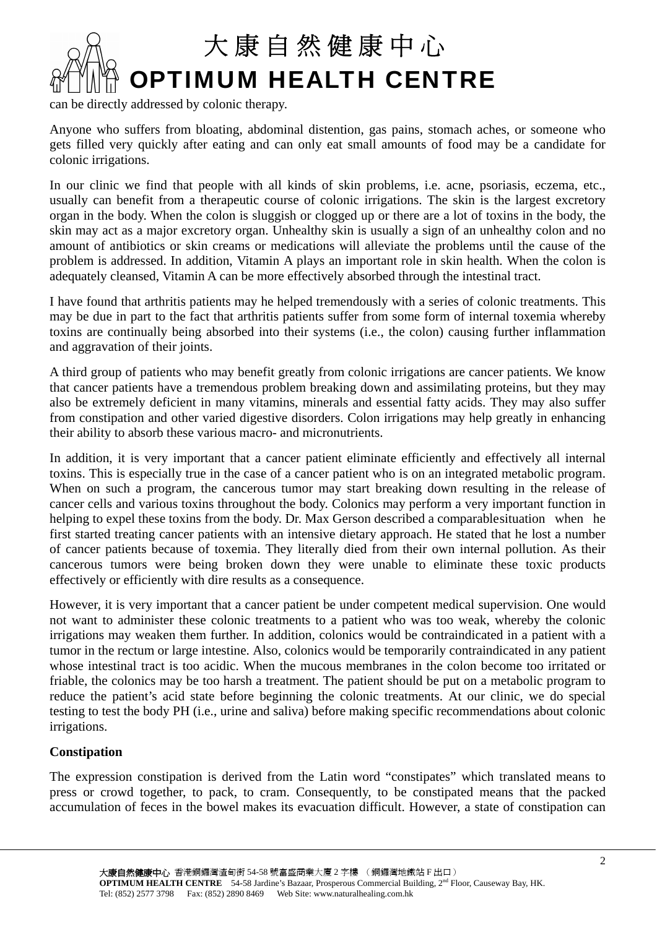

can be directly addressed by colonic therapy.

Anyone who suffers from bloating, abdominal distention, gas pains, stomach aches, or someone who gets filled very quickly after eating and can only eat small amounts of food may be a candidate for colonic irrigations.

In our clinic we find that people with all kinds of skin problems, i.e. acne, psoriasis, eczema, etc., usually can benefit from a therapeutic course of colonic irrigations. The skin is the largest excretory organ in the body. When the colon is sluggish or clogged up or there are a lot of toxins in the body, the skin may act as a major excretory organ. Unhealthy skin is usually a sign of an unhealthy colon and no amount of antibiotics or skin creams or medications will alleviate the problems until the cause of the problem is addressed. In addition, Vitamin A plays an important role in skin health. When the colon is adequately cleansed, Vitamin A can be more effectively absorbed through the intestinal tract.

I have found that arthritis patients may he helped tremendously with a series of colonic treatments. This may be due in part to the fact that arthritis patients suffer from some form of internal toxemia whereby toxins are continually being absorbed into their systems (i.e., the colon) causing further inflammation and aggravation of their joints.

A third group of patients who may benefit greatly from colonic irrigations are cancer patients. We know that cancer patients have a tremendous problem breaking down and assimilating proteins, but they may also be extremely deficient in many vitamins, minerals and essential fatty acids. They may also suffer from constipation and other varied digestive disorders. Colon irrigations may help greatly in enhancing their ability to absorb these various macro- and micronutrients.

In addition, it is very important that a cancer patient eliminate efficiently and effectively all internal toxins. This is especially true in the case of a cancer patient who is on an integrated metabolic program. When on such a program, the cancerous tumor may start breaking down resulting in the release of cancer cells and various toxins throughout the body. Colonics may perform a very important function in helping to expel these toxins from the body. Dr. Max Gerson described a comparable situation when he first started treating cancer patients with an intensive dietary approach. He stated that he lost a number of cancer patients because of toxemia. They literally died from their own internal pollution. As their cancerous tumors were being broken down they were unable to eliminate these toxic products effectively or efficiently with dire results as a consequence.

However, it is very important that a cancer patient be under competent medical supervision. One would not want to administer these colonic treatments to a patient who was too weak, whereby the colonic irrigations may weaken them further. In addition, colonics would be contraindicated in a patient with a tumor in the rectum or large intestine. Also, colonics would be temporarily contraindicated in any patient whose intestinal tract is too acidic. When the mucous membranes in the colon become too irritated or friable, the colonics may be too harsh a treatment. The patient should be put on a metabolic program to reduce the patient's acid state before beginning the colonic treatments. At our clinic, we do special testing to test the body PH (i.e., urine and saliva) before making specific recommendations about colonic irrigations.

## **Constipation**

The expression constipation is derived from the Latin word "constipates" which translated means to press or crowd together, to pack, to cram. Consequently, to be constipated means that the packed accumulation of feces in the bowel makes its evacuation difficult. However, a state of constipation can